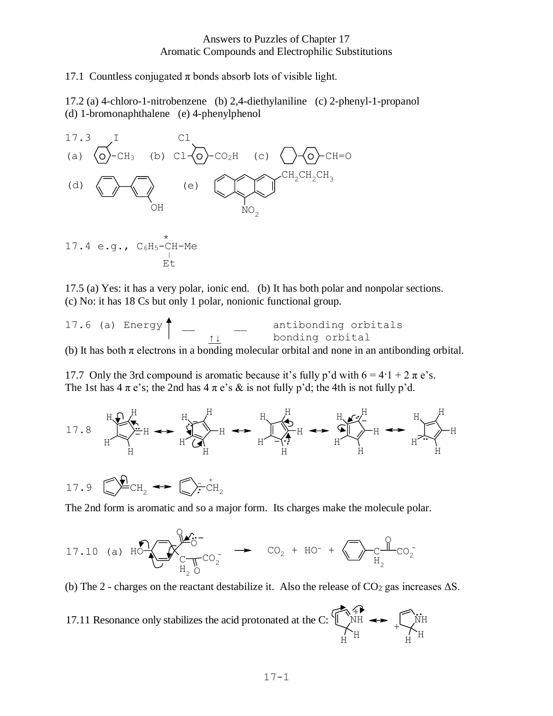## Answers to Puzzles of Chapter 17 Aromatic Compounds and Electrophilic Substitutions

17.1 Countless conjugated  $\pi$  bonds absorb lots of visible light.

17.2 (a) 4-chloro-1-nitrobenzene (b) 2,4-diethylaniline (c) 2-phenyl-1-propanol (d) 1-bromonaphthalene (e) 4-phenylphenol



17.5 (a) Yes: it has a very polar, ionic end. (b) It has both polar and nonpolar sections. (c) No: it has 18 Cs but only 1 polar, nonionic functional group.

17.6 (a) Energy 
$$
\uparrow
$$
  $\qquad$   $\qquad$   $\qquad$   $\qquad$   $\qquad$   $\qquad$   $\qquad$   $\qquad$   $\qquad$   $\qquad$   $\qquad$   $\qquad$   $\qquad$   $\qquad$   $\qquad$   $\qquad$   $\qquad$   $\qquad$   $\qquad$   $\qquad$   $\qquad$   $\qquad$   $\qquad$   $\qquad$   $\qquad$   $\qquad$   $\qquad$   $\qquad$   $\qquad$   $\qquad$   $\qquad$   $\qquad$   $\qquad$   $\qquad$   $\qquad$   $\qquad$   $\qquad$   $\qquad$   $\qquad$   $\qquad$   $\qquad$   $\qquad$   $\qquad$   $\qquad$   $\qquad$   $\qquad$   $\qquad$   $\qquad$   $\qquad$   $\qquad$   $\qquad$   $\qquad$   $\qquad$   $\qquad$   $\qquad$   $\qquad$   $\qquad$   $\qquad$   $\qquad$   $\qquad$   $\qquad$   $\qquad$   $\qquad$   $\qquad$   $\qquad$   $\qquad$   $\qquad$   $\qquad$ 

(b) It has both  $\pi$  electrons in a bonding molecular orbital and none in an antibonding orbital.

17.7 Only the 3rd compound is aromatic because it's fully p'd with  $6 = 4.1 + 2 \pi e$ 's. The 1st has  $4 \pi e$ 's; the 2nd has  $4 \pi e$ 's & is not fully p'd; the 4th is not fully p'd.



17.9 
$$
\bigotimes^{4} CH_2 \leftrightarrow \bigotimes^{+} CH_2
$$

The 2nd form is aromatic and so a major form. Its charges make the molecule polar.

17.10 (a) 
$$
H O \left(\frac{R}{H_2 O} \right)^{-1} = O_2 + HO^- + \left(\frac{R}{H_2 O} \right)^{-1} CO_2^{-1}
$$

(b) The 2 - charges on the reactant destabilize it. Also the release of  $CO<sub>2</sub>$  gas increases  $\Delta S$ .

17.11 Resonance only stabilizes the acid protonated at the C: 
$$
\underbrace{\begin{matrix} 1 & 0 & 0 \\ 0 & 1 & 0 \\ 0 & 0 & 0 \end{matrix}}_{H} \begin{matrix} 1 & 0 & 0 \\ 0 & 0 & 0 \\ 0 & 0 & 0 \end{matrix}
$$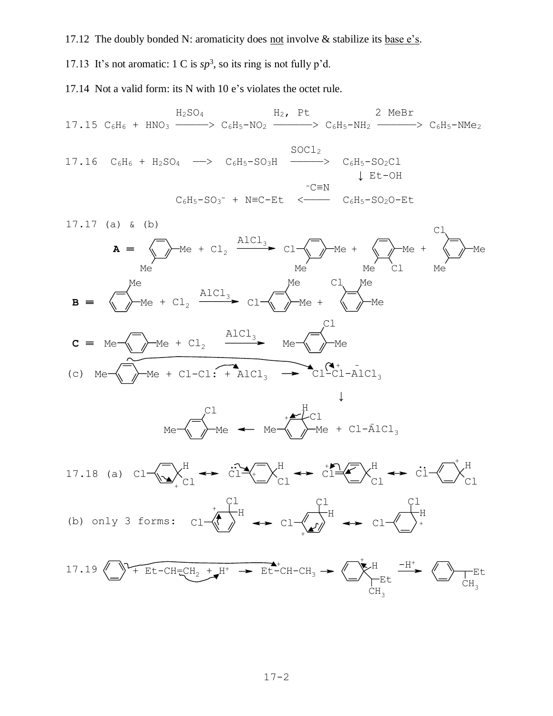17.12 The doubly bonded N: aromaticity does not involve & stabilize its base  $e's$ .

17.13 It's not aromatic: 1 C is  $sp^3$ , so its ring is not fully p'd.

17.14 Not a valid form: its N with 10 e's violates the octet rule.

17.15 C<sub>6</sub>H<sub>6</sub> + HNO<sub>3</sub> 
$$
\frac{H_2SO_4}{2}
$$
 ) C<sub>6</sub>H<sub>3</sub>-NO<sub>2</sub>  $\frac{H_2$ , Pt  $\frac{2 MeBr}{2}$  C<sub>6</sub>H<sub>3</sub>-NNe<sub>2</sub>  
\n17.16 C<sub>6</sub>H<sub>6</sub> + H<sub>2</sub>SO<sub>4</sub>  $\longrightarrow$  C<sub>6</sub>H<sub>3</sub>-SO<sub>2</sub>H  $\xrightarrow{SCcLi} \xrightarrow{EC-Et} \xleftarrow{CEN} \xleftarrow{CEN} \xleftarrow{EC-Ht} \xleftarrow{CEN} \xleftarrow{CEN} \xleftarrow{CEN} \xleftarrow{CEN} \xleftarrow{CEN} \xleftarrow{CEN} \xleftarrow{CEN} \xleftarrow{CEN} \xleftarrow{CEN} \xleftarrow{CEN} \xleftarrow{CEN} \xleftarrow{CEN} \xleftarrow{CEN} \xleftarrow{CEN} \xleftarrow{MCI} \xleftarrow{MCI} \xleftarrow{MCI} \xleftarrow{MCI} \xleftarrow{MCI} \xleftarrow{MCI} \xleftarrow{MCI} \xleftarrow{MCI} \xleftarrow{MCI} \xleftarrow{MCI} \xleftarrow{MCI} \xleftarrow{MCI} \xleftarrow{MCI} \xleftarrow{MCI} \xleftarrow{MCI} \xleftarrow{MCI} \xleftarrow{MCI} \xleftarrow{MCI} \xleftarrow{MCI} \xleftarrow{MCI} \xleftarrow{MCI} \xleftarrow{MCI} \xleftarrow{LCI} \xleftarrow{MCI} \xleftarrow{LCI} \xleftarrow{LCI} \xleftarrow{LCI} \xleftarrow{LCI} \xleftarrow{LCI} \xleftarrow{LCI} \xleftarrow{LCI} \xleftarrow{LCI} \xleftarrow{LCI} \xleftarrow{CL} \xleftarrow{CL} \xleftarrow{CL} \xleftarrow{CL} \xleftarrow{CL} \xleftarrow{CL} \xleftarrow{CL} \xleftarrow{CL} \xleftarrow{CL} \xleftarrow{CL} \xleftarrow{CL} \xleftarrow{CL} \xleftarrow{CL} \xleftarrow{CL} \xleftarrow{CL} \xleftarrow{CL} \xleftarrow{CL} \xleftarrow{CL} \xleftarrow{CL} \xleftarrow{CL} \xleftarrow{CL} \xleftarrow{CL} \x$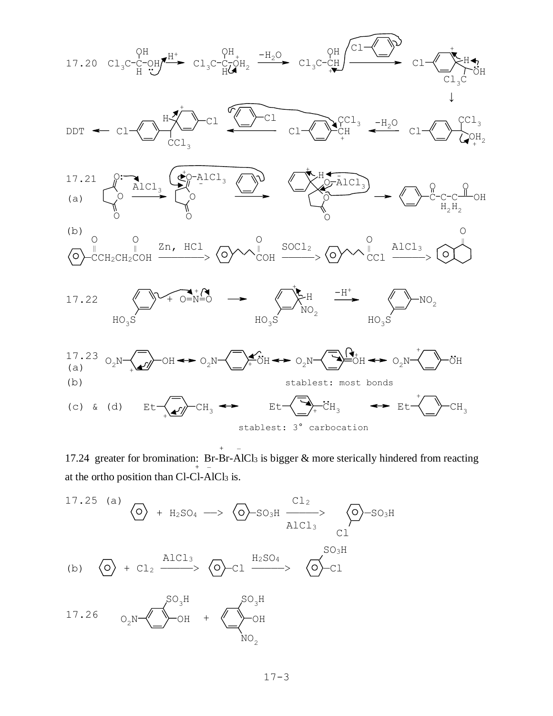

17.24 greater for bromination: Br-Br-AlCl<sub>3</sub> is bigger & more sterically hindered from reacting <sup>+</sup> – at the ortho position than Cl-Cl-AlCl<sup>3</sup> is.

17.25 (a)  
\n
$$
\begin{array}{ccc}\n\text{(b)} & \begin{array}{ccc}\n\text{(c)} & + H_{2}\text{SO}_{4} & \longrightarrow & \begin{array}{c}\n\text{(d)} & \text{Cl}_{2} \\
\text{(e)} & \text{AlCl}_{3} & \text{Cl} \\
\end{array}\n\end{array}
$$
\n(b)  
\n
$$
\begin{array}{ccc}\n\text{(b)} & \begin{array}{ccc}\n\text{(c)} & + C_{12} & \frac{\text{AlCl}_{3}}{2} & \text{O} & \text{Cl}_{2} \\
\end{array}\n\end{array}
$$
\n(c)  
\n
$$
\begin{array}{ccc}\n\text{(d)} & \text{AlCl}_{3} & \text{Cl}_{2} & \text{SO}_{3}H \\
\end{array}
$$
\n(d)  
\n
$$
\begin{array}{ccc}\n\text{(e)} & \text{AlCl}_{2} & \text{AlCl}_{3} & \text{Cl}_{2} \\
\end{array}
$$
\n(d)  
\n
$$
\begin{array}{ccc}\n\text{(f)} & \text{AlCl}_{3} & \text{Cl}_{3} & \text{Cl}_{3} \\
\end{array}
$$
\n(e)  
\n
$$
\begin{array}{ccc}\n\text{(g)} & \text{AlCl}_{3} & \text{Cl}_{3} & \text{Cl}_{3} \\
\end{array}
$$
\n(e)  
\n
$$
\begin{array}{ccc}\n\text{(h)} & \text{AlCl}_{3} & \text{Cl}_{3} & \text{Cl}_{3} \\
\end{array}
$$
\n(e)  
\n
$$
\begin{array}{ccc}\n\text{(i)} & \text{AlCl}_{3} & \text{Cl}_{3} \\
\end{array}
$$
\n(f)  
\n
$$
\begin{array}{ccc}\n\text{(i)} & \text{AlCl}_{3} & \text{Cl}_{3} \\
\end{array}
$$
\n(f)  
\n
$$
\begin{array}{ccc}\n\text{(ii)} & \text{AlCl}_{3} & \text{Cl}_{3} \\
\end{array}
$$
\n(g)  
\n
$$
\begin{array}{ccc}\n\text{(ii)} & \text{AlCl}_{3} & \text{Cl}_{3} \\
\end{array}
$$
\n(g)  
\n
$$
\begin{array}{ccc}\n\text{(b)} & \text{AlCl}_{2} & \text{AlCl}_{3} & \text{Cl}_{3} \\
\end{array}
$$
\n(g)  
\n
$$
\begin{array}{ccc}\n\text{(
$$

$$
17-3
$$

NO.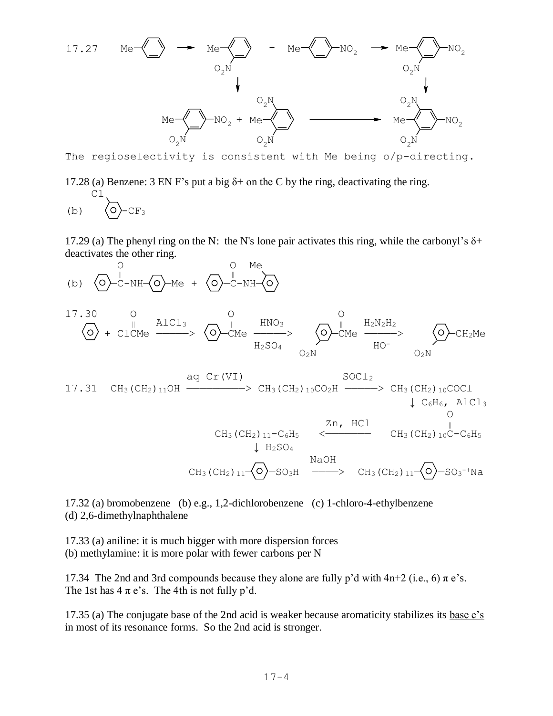

The regioselectivity is consistent with Me being o/p-directing.

17.28 (a) Benzene: 3 EN F's put a big  $\delta$ + on the C by the ring, deactivating the ring.  $C<sub>1</sub>$ 

$$
(b) \qquad \qquad \overline{O} - CF_3
$$

17.29 (a) The phenyl ring on the N: the N's lone pair activates this ring, while the carbonyl's  $\delta$ + deactivates the other ring.

(b) 
$$
\bigodot -C - NH - \bigodot -Me + \bigodot -C - NH - \bigodot
$$
  
\n17.30 0 0  
\n $\bigodot + C1CMe \xrightarrow{\parallel} A1C13$  0 0  
\n $\bigodot + C1CMe \xrightarrow{\parallel} AC13$  0 0  
\n $\bigodot -CMe \xrightarrow{H_2SO_4} \bigodot -CMe \xrightarrow{H_2O_4} \bigodot -CMe \xrightarrow{H_2N_2H_2} \bigodot -CH_2Me$   
\n17.31 CH<sub>3</sub> (CH<sub>2</sub>)<sub>11</sub>OH  $\xrightarrow{\text{aq } Cr (VI)}$  0<sub>2N</sub>  
\nCH<sub>3</sub> (CH<sub>2</sub>)<sub>11</sub>-C<sub>6</sub>H<sub>5</sub>  $\bigodot$  H<sub>2</sub> (CH<sub>2</sub>)<sub>10</sub>COCl  
\n $\bigodot$  CH<sub>3</sub> (CH<sub>2</sub>)<sub>11</sub>-C<sub>6</sub>H<sub>5</sub>  $\bigodot$  H<sub>2SO\_4</sub>  
\nCH<sub>3</sub> (CH<sub>2</sub>)<sub>11</sub>-C<sub>6</sub>H<sub>5</sub>  $\bigodot$  CH<sub>3</sub> (CH<sub>2</sub>)<sub>10</sub>C-C<sub>6</sub>H<sub>5</sub>  
\n $\bigodot$  H<sub>2SO\_4</sub>  
\nH<sub>2SO\_4</sub>  
\nH<sub>2SO\_4</sub>  
\nM<sub>3</sub>OH  
\nCH<sub>3</sub> (CH<sub>2</sub>)<sub>11</sub>- $\bigodot$ -C<sub>93</sub><sup>+</sup>  $\bigodot$ 

17.32 (a) bromobenzene (b) e.g., 1,2-dichlorobenzene (c) 1-chloro-4-ethylbenzene (d) 2,6-dimethylnaphthalene

17.33 (a) aniline: it is much bigger with more dispersion forces (b) methylamine: it is more polar with fewer carbons per N

17.34 The 2nd and 3rd compounds because they alone are fully p'd with  $4n+2$  (i.e., 6)  $\pi$  e's. The 1st has  $4 \pi e$ 's. The 4th is not fully p'd.

17.35 (a) The conjugate base of the 2nd acid is weaker because aromaticity stabilizes its base e's in most of its resonance forms. So the 2nd acid is stronger.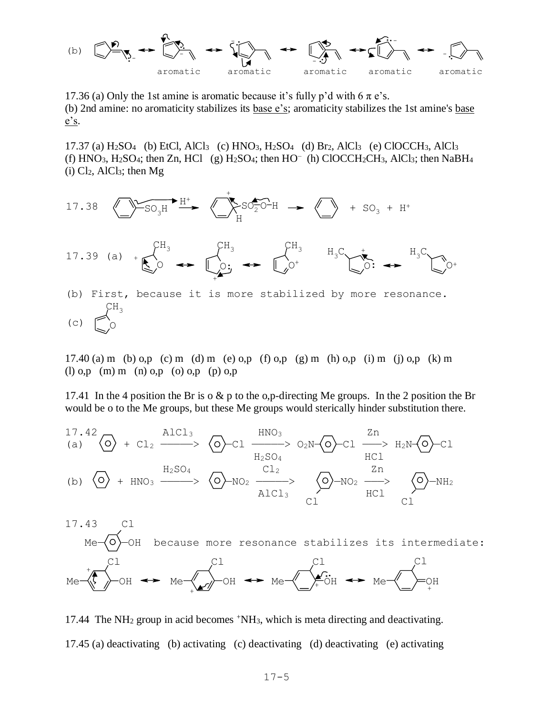

17.36 (a) Only the 1st amine is aromatic because it's fully p'd with  $6 \pi e$ 's. (b) 2nd amine: no aromaticity stabilizes its base e's; aromaticity stabilizes the 1st amine's base e's.

17.37 (a) H2SO4 (b) EtCl, AlCl3 (c) HNO3, H2SO<sup>4</sup> (d) Br2, AlCl3 (e) ClOCCH3, AlCl<sup>3</sup> (f) HNO<sub>3</sub>, H<sub>2</sub>SO<sub>4</sub>; then Zn, HCl (g) H<sub>2</sub>SO<sub>4</sub>; then HO<sup>-</sup> (h) ClOCCH<sub>2</sub>CH<sub>3</sub>, AlCl<sub>3</sub>; then NaBH<sub>4</sub>  $(i)$  Cl<sub>2</sub>, AlCl<sub>3</sub>; then Mg



17.40 (a) m (b) o,p (c) m (d) m (e) o,p (f) o,p (g) m (h) o,p (i) m (j) o,p (k) m (l) o,p (m) m (n) o,p (o) o,p (p) o,p

17.41 In the 4 position the Br is o  $\&$  p to the o,p-directing Me groups. In the 2 position the Br would be o to the Me groups, but these Me groups would sterically hinder substitution there.

$$
\begin{array}{ccc}\n17.42 & \bigodot + \bigodot_{2} & \frac{\text{AlCl}_{3}}{\text{H}_{2}\text{SO}_{4}} & \frac{\text{HNO}_{3}}{\text{H}_{2}\text{SO}_{4}} & \bigodot - \bigodot & \frac{\text{Zn}}{\text{H}_{2}\text{N}} \bigodot - \bigodot \\
\text{(b)} & \bigodot + \text{HNO}_{3} & \xrightarrow{\text{H}_{2}\text{SO}_{4}} & \bigodot - \text{NO}_{2} & \xrightarrow{\text{GL}_{2}} & \bigodot - \text{NO}_{2} & \xrightarrow{\text{Zn}} & \bigodot - \text{NH}_{2} \\
\text{(c)} & & \bigodot + \text{HNO}_{3} & \xrightarrow{\text{H}_{2}\text{SO}_{4}} & \bigodot - \text{NO}_{2} & \xrightarrow{\text{GL}_{2}} & \bigodot - \text{NO}_{2} & \xrightarrow{\text{Zn}} & \bigodot - \text{NH}_{2} \\
\text{(d)} & & \bigodot + \text{HNO}_{3} & \xrightarrow{\text{H}_{2}\text{SO}_{4}} & \bigodot - \text{NO}_{2} & \xrightarrow{\text{GL}_{2}} & \bigodot - \text{NO}_{2} & \xrightarrow{\text{Zn}} & \bigodot - \text{NH}_{2} \\
\end{array}
$$

17.43 Cl  
\nMe-O-OH because more resonance stabilizes its intermediate:  
\n
$$
Me \times \frac{Cl}{O}
$$
Cl  
\nMe  $Me \times \frac{Cl}{O}$ OH  $\leftrightarrow Me \times \frac{Cl}{H}$ CH  $\leftrightarrow Me \times \frac{Cl}{H}$ Cl

17.44 The NH<sup>2</sup> group in acid becomes <sup>+</sup>NH3, which is meta directing and deactivating. 17.45 (a) deactivating (b) activating (c) deactivating (d) deactivating (e) activating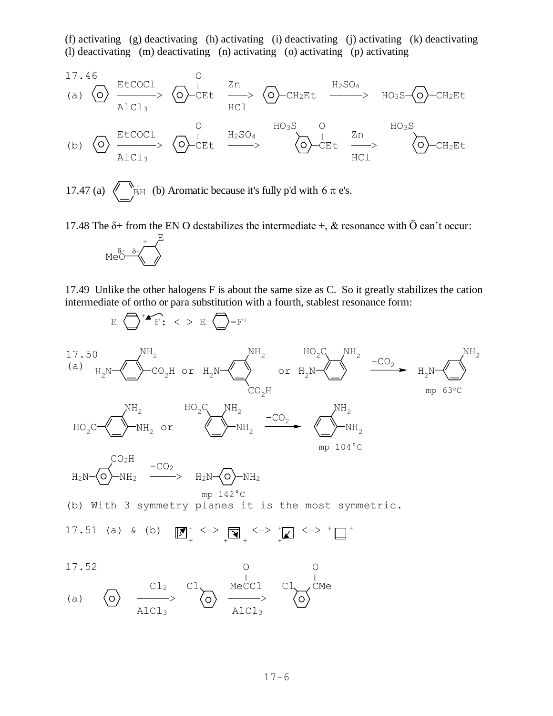(f) activating (g) deactivating (h) activating (i) deactivating (j) activating (k) deactivating (l) deactivating (m) deactivating (n) activating (o) activating (p) activating



17.47 (a)  $\left\langle \right\rangle$   $\right\vert$  BH (b) Aromatic because it's fully p'd with 6  $\pi$  e's.

17.48 The  $\delta$ + from the EN O destabilizes the intermediate +, & resonance with Ö can't occur:



17.49 Unlike the other halogens F is about the same size as C. So it greatly stabilizes the cation intermediate of ortho or para substitution with a fourth, stablest resonance form:

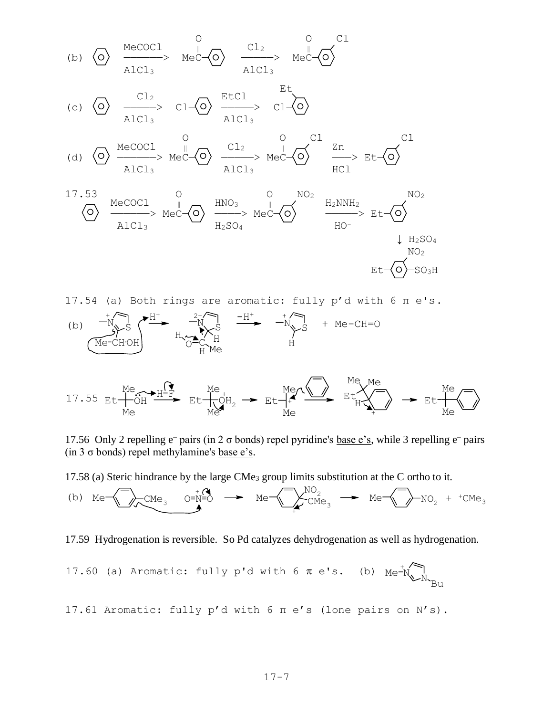

17.54 (a) Both rings are aromatic: fully p'd with 6 π e's. n<br>S Me-CH·OH <sup>N</sup> <sup>S</sup> C H H Me O H n<br>S H (b) + $\overline{H}^+$  2+ $\overline{P}$  -H<sup>+</sup> + + Me-CH=O

17.55 Et 
$$
\overrightarrow{DE}
$$
 H-F  
Me  
Me  
Me  
Me  
Me  
He  
Me  
He  
He  
He  
He  
He  
He  
He  
Me  
He  
Me  
Me  
Me  
Me

17.56 Only 2 repelling e<sup>-</sup> pairs (in 2 σ bonds) repel pyridine's <u>base e's</u>, while 3 repelling e<sup>-</sup> pairs (in 3  $\sigma$  bonds) repel methylamine's <u>base e's</u>.

17.58 (a) Steric hindrance by the large CMe<sup>3</sup> group limits substitution at the C ortho to it.



17.59 Hydrogenation is reversible. So Pd catalyzes dehydrogenation as well as hydrogenation.

17.60 (a) Aromatic: fully p'd with 6 
$$
\pi
$$
 e's. (b) Me<sup>+</sup>N<sub>N</sub><sub>N</sub>

17.61 Aromatic: fully p'd with 6 π e's (lone pairs on N's).